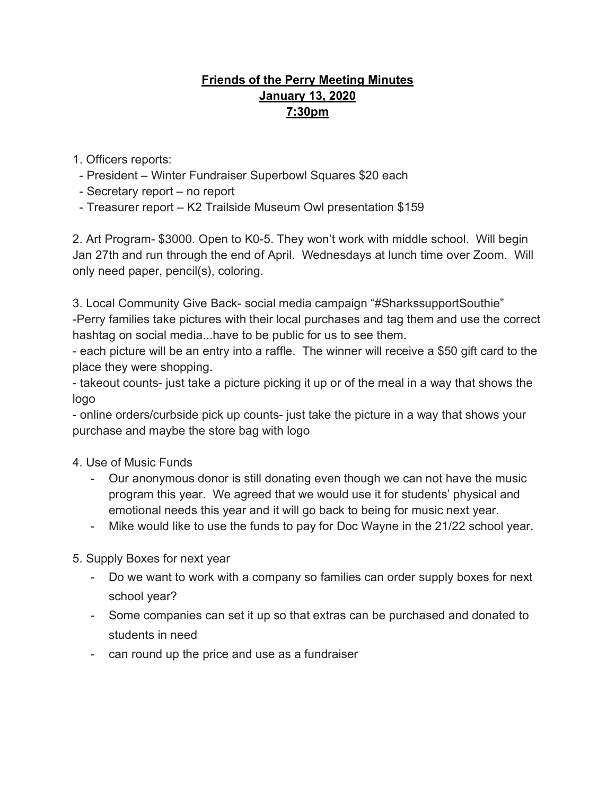## **Friends of the Perry Meeting Minutes January 13, 2020 7:30pm**

- 1. Officers reports:
- President Winter Fundraiser Superbowl Squares \$20 each
- Secretary report no report
- Treasurer report K2 Trailside Museum Owl presentation \$159

2. Art Program- \$3000. Open to K0-5. They won't work with middle school. Will begin Jan 27th and run through the end of April. Wednesdays at lunch time over Zoom. Will only need paper, pencil(s), coloring.

3. Local Community Give Back- social media campaign "#SharkssupportSouthie" -Perry families take pictures with their local purchases and tag them and use the correct hashtag on social media...have to be public for us to see them.

- each picture will be an entry into a raffle. The winner will receive a \$50 gift card to the place they were shopping.

- takeout counts- just take a picture picking it up or of the meal in a way that shows the logo

- online orders/curbside pick up counts- just take the picture in a way that shows your purchase and maybe the store bag with logo

4. Use of Music Funds

- Our anonymous donor is still donating even though we can not have the music program this year. We agreed that we would use it for students' physical and emotional needs this year and it will go back to being for music next year.
- Mike would like to use the funds to pay for Doc Wayne in the 21/22 school year.

5. Supply Boxes for next year

- Do we want to work with a company so families can order supply boxes for next school year?
- Some companies can set it up so that extras can be purchased and donated to students in need
- can round up the price and use as a fundraiser